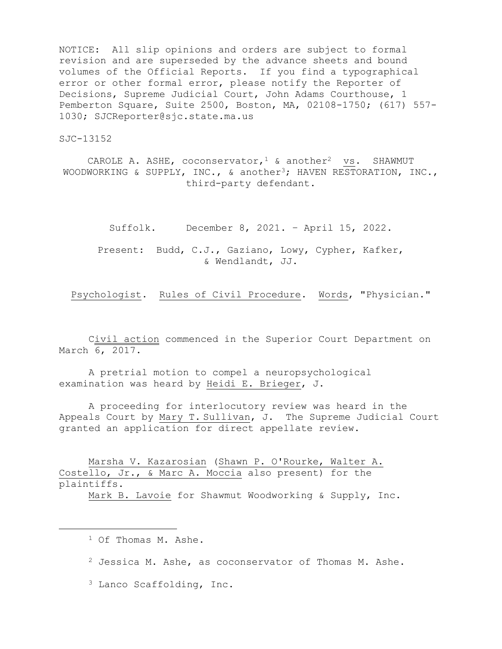NOTICE: All slip opinions and orders are subject to formal revision and are superseded by the advance sheets and bound volumes of the Official Reports. If you find a typographical error or other formal error, please notify the Reporter of Decisions, Supreme Judicial Court, John Adams Courthouse, 1 Pemberton Square, Suite 2500, Boston, MA, 02108-1750; (617) 557- 1030; SJCReporter@sjc.state.ma.us

SJC-13152

CAROLE A. ASHE, coconservator,  $1 \&$  another<sup>2</sup> vs. SHAWMUT WOODWORKING & SUPPLY, INC., & another<sup>3</sup>; HAVEN RESTORATION, INC., third-party defendant.

Suffolk. December 8, 2021. – April 15, 2022.

Present: Budd, C.J., Gaziano, Lowy, Cypher, Kafker, & Wendlandt, JJ.

Psychologist. Rules of Civil Procedure. Words, "Physician."

Civil action commenced in the Superior Court Department on March 6, 2017.

A pretrial motion to compel a neuropsychological examination was heard by Heidi E. Brieger, J.

A proceeding for interlocutory review was heard in the Appeals Court by Mary T. Sullivan, J. The Supreme Judicial Court granted an application for direct appellate review.

Marsha V. Kazarosian (Shawn P. O'Rourke, Walter A. Costello, Jr., & Marc A. Moccia also present) for the plaintiffs.

Mark B. Lavoie for Shawmut Woodworking & Supply, Inc.

<sup>1</sup> Of Thomas M. Ashe.

 $2$  Jessica M. Ashe, as coconservator of Thomas M. Ashe.

<sup>3</sup> Lanco Scaffolding, Inc.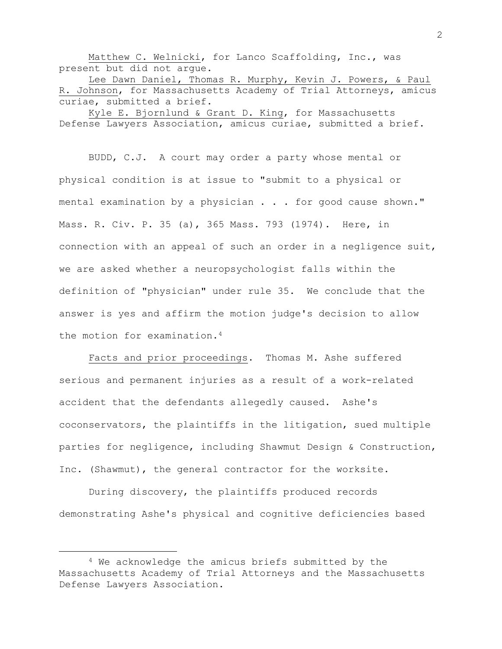Matthew C. Welnicki, for Lanco Scaffolding, Inc., was present but did not argue.

Lee Dawn Daniel, Thomas R. Murphy, Kevin J. Powers, & Paul R. Johnson, for Massachusetts Academy of Trial Attorneys, amicus curiae, submitted a brief.

Kyle E. Bjornlund & Grant D. King, for Massachusetts Defense Lawyers Association, amicus curiae, submitted a brief.

BUDD, C.J. A court may order a party whose mental or physical condition is at issue to "submit to a physical or mental examination by a physician . . . for good cause shown." Mass. R. Civ. P. 35 (a), 365 Mass. 793 (1974). Here, in connection with an appeal of such an order in a negligence suit, we are asked whether a neuropsychologist falls within the definition of "physician" under rule 35. We conclude that the answer is yes and affirm the motion judge's decision to allow the motion for examination.<sup>4</sup>

Facts and prior proceedings. Thomas M. Ashe suffered serious and permanent injuries as a result of a work-related accident that the defendants allegedly caused. Ashe's coconservators, the plaintiffs in the litigation, sued multiple parties for negligence, including Shawmut Design & Construction, Inc. (Shawmut), the general contractor for the worksite.

During discovery, the plaintiffs produced records demonstrating Ashe's physical and cognitive deficiencies based

<sup>4</sup> We acknowledge the amicus briefs submitted by the Massachusetts Academy of Trial Attorneys and the Massachusetts Defense Lawyers Association.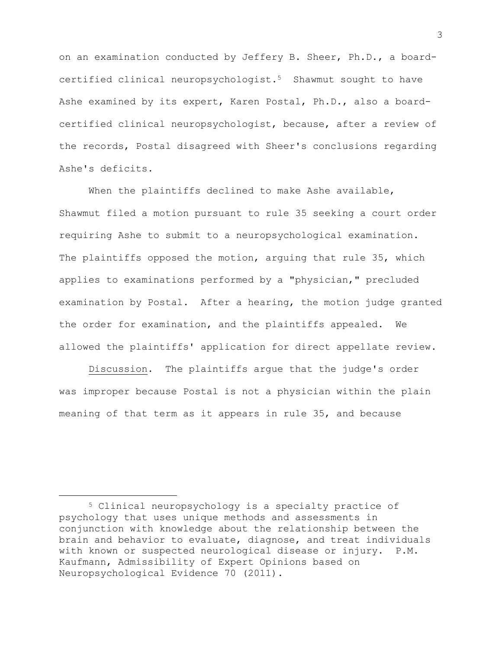on an examination conducted by Jeffery B. Sheer, Ph.D., a boardcertified clinical neuropsychologist.5 Shawmut sought to have Ashe examined by its expert, Karen Postal, Ph.D., also a boardcertified clinical neuropsychologist, because, after a review of the records, Postal disagreed with Sheer's conclusions regarding Ashe's deficits.

When the plaintiffs declined to make Ashe available, Shawmut filed a motion pursuant to rule 35 seeking a court order requiring Ashe to submit to a neuropsychological examination. The plaintiffs opposed the motion, arquing that rule 35, which applies to examinations performed by a "physician," precluded examination by Postal. After a hearing, the motion judge granted the order for examination, and the plaintiffs appealed. We allowed the plaintiffs' application for direct appellate review.

Discussion. The plaintiffs argue that the judge's order was improper because Postal is not a physician within the plain meaning of that term as it appears in rule 35, and because

<sup>5</sup> Clinical neuropsychology is a specialty practice of psychology that uses unique methods and assessments in conjunction with knowledge about the relationship between the brain and behavior to evaluate, diagnose, and treat individuals with known or suspected neurological disease or injury. P.M. Kaufmann, Admissibility of Expert Opinions based on Neuropsychological Evidence 70 (2011).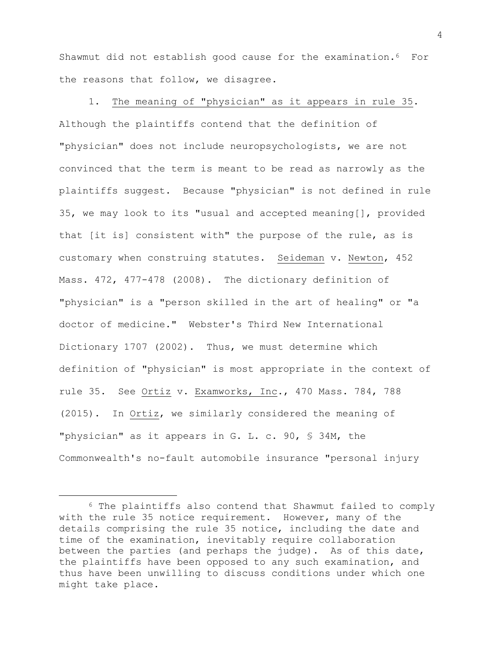Shawmut did not establish good cause for the examination.6 For the reasons that follow, we disagree.

1. The meaning of "physician" as it appears in rule 35. Although the plaintiffs contend that the definition of "physician" does not include neuropsychologists, we are not convinced that the term is meant to be read as narrowly as the plaintiffs suggest. Because "physician" is not defined in rule 35, we may look to its "usual and accepted meaning[], provided that [it is] consistent with" the purpose of the rule, as is customary when construing statutes. Seideman v. Newton, 452 Mass. 472, 477-478 (2008). The dictionary definition of "physician" is a "person skilled in the art of healing" or "a doctor of medicine." Webster's Third New International Dictionary 1707 (2002). Thus, we must determine which definition of "physician" is most appropriate in the context of rule 35. See Ortiz v. Examworks, Inc., 470 Mass. 784, 788 (2015). In Ortiz, we similarly considered the meaning of "physician" as it appears in G. L. c. 90, § 34M, the Commonwealth's no-fault automobile insurance "personal injury

<sup>6</sup> The plaintiffs also contend that Shawmut failed to comply with the rule 35 notice requirement. However, many of the details comprising the rule 35 notice, including the date and time of the examination, inevitably require collaboration between the parties (and perhaps the judge). As of this date, the plaintiffs have been opposed to any such examination, and thus have been unwilling to discuss conditions under which one might take place.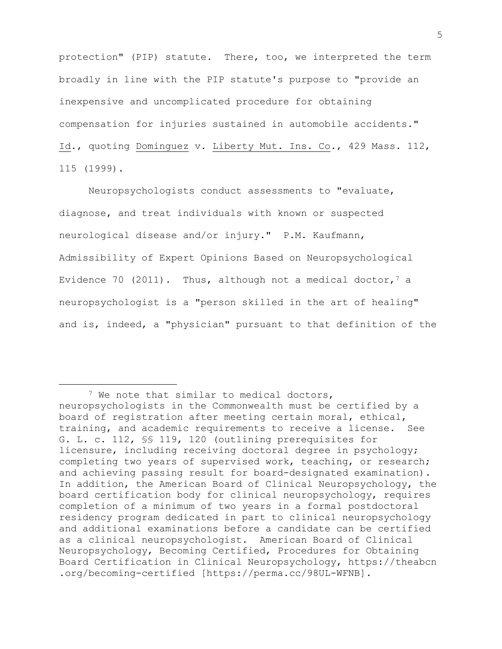protection" (PIP) statute. There, too, we interpreted the term broadly in line with the PIP statute's purpose to "provide an inexpensive and uncomplicated procedure for obtaining compensation for injuries sustained in automobile accidents." Id., quoting Dominguez v. Liberty Mut. Ins. Co., 429 Mass. 112, 115 (1999).

Neuropsychologists conduct assessments to "evaluate, diagnose, and treat individuals with known or suspected neurological disease and/or injury." P.M. Kaufmann, Admissibility of Expert Opinions Based on Neuropsychological Evidence 70 (2011). Thus, although not a medical doctor,  $7$  a neuropsychologist is a "person skilled in the art of healing" and is, indeed, a "physician" pursuant to that definition of the

<sup>&</sup>lt;sup>7</sup> We note that similar to medical doctors, neuropsychologists in the Commonwealth must be certified by a board of registration after meeting certain moral, ethical, training, and academic requirements to receive a license. See G. L. c. 112, §§ 119, 120 (outlining prerequisites for licensure, including receiving doctoral degree in psychology; completing two years of supervised work, teaching, or research; and achieving passing result for board-designated examination). In addition, the American Board of Clinical Neuropsychology, the board certification body for clinical neuropsychology, requires completion of a minimum of two years in a formal postdoctoral residency program dedicated in part to clinical neuropsychology and additional examinations before a candidate can be certified as a clinical neuropsychologist. American Board of Clinical Neuropsychology, Becoming Certified, Procedures for Obtaining Board Certification in Clinical Neuropsychology, https://theabcn .org/becoming-certified [https://perma.cc/98UL-WFNB].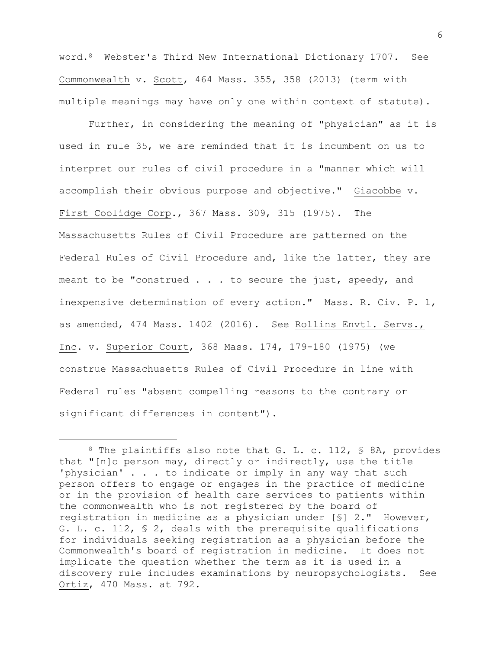word.8 Webster's Third New International Dictionary 1707. See Commonwealth v. Scott, 464 Mass. 355, 358 (2013) (term with multiple meanings may have only one within context of statute).

Further, in considering the meaning of "physician" as it is used in rule 35, we are reminded that it is incumbent on us to interpret our rules of civil procedure in a "manner which will accomplish their obvious purpose and objective." Giacobbe v. First Coolidge Corp., 367 Mass. 309, 315 (1975). The Massachusetts Rules of Civil Procedure are patterned on the Federal Rules of Civil Procedure and, like the latter, they are meant to be "construed . . . to secure the just, speedy, and inexpensive determination of every action." Mass. R. Civ. P. 1, as amended, 474 Mass. 1402 (2016). See Rollins Envtl. Servs., Inc. v. Superior Court, 368 Mass. 174, 179-180 (1975) (we construe Massachusetts Rules of Civil Procedure in line with Federal rules "absent compelling reasons to the contrary or significant differences in content").

<sup>8</sup> The plaintiffs also note that G. L. c. 112, § 8A, provides that "[n]o person may, directly or indirectly, use the title 'physician' . . . to indicate or imply in any way that such person offers to engage or engages in the practice of medicine or in the provision of health care services to patients within the commonwealth who is not registered by the board of registration in medicine as a physician under [§] 2." However, G. L. c. 112, § 2, deals with the prerequisite qualifications for individuals seeking registration as a physician before the Commonwealth's board of registration in medicine. It does not implicate the question whether the term as it is used in a discovery rule includes examinations by neuropsychologists. See Ortiz, 470 Mass. at 792.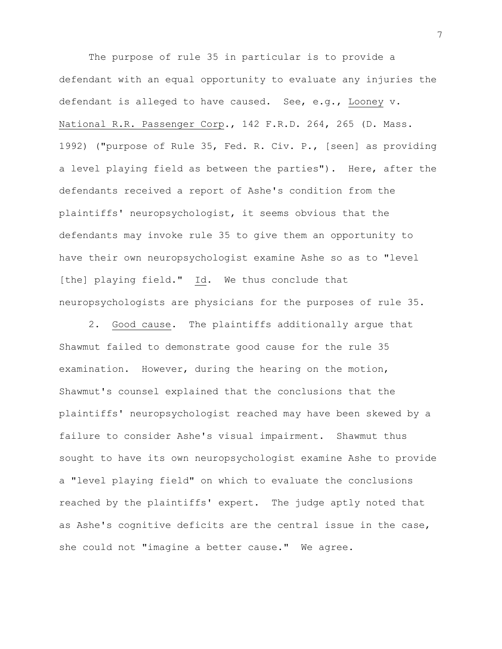The purpose of rule 35 in particular is to provide a defendant with an equal opportunity to evaluate any injuries the defendant is alleged to have caused. See, e.g., Looney v. National R.R. Passenger Corp., 142 F.R.D. 264, 265 (D. Mass. 1992) ("purpose of Rule 35, Fed. R. Civ. P., [seen] as providing a level playing field as between the parties"). Here, after the defendants received a report of Ashe's condition from the plaintiffs' neuropsychologist, it seems obvious that the defendants may invoke rule 35 to give them an opportunity to have their own neuropsychologist examine Ashe so as to "level [the] playing field." Id. We thus conclude that neuropsychologists are physicians for the purposes of rule 35.

2. Good cause. The plaintiffs additionally argue that Shawmut failed to demonstrate good cause for the rule 35 examination. However, during the hearing on the motion, Shawmut's counsel explained that the conclusions that the plaintiffs' neuropsychologist reached may have been skewed by a failure to consider Ashe's visual impairment. Shawmut thus sought to have its own neuropsychologist examine Ashe to provide a "level playing field" on which to evaluate the conclusions reached by the plaintiffs' expert. The judge aptly noted that as Ashe's cognitive deficits are the central issue in the case, she could not "imagine a better cause." We agree.

7